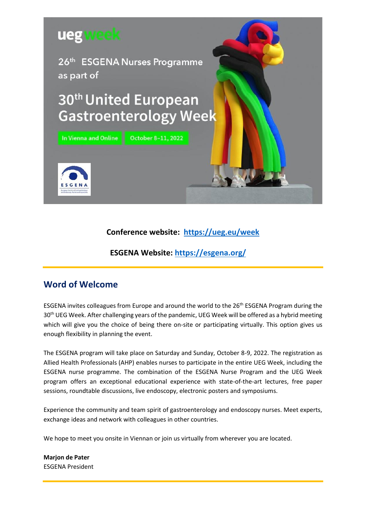

## **Conference website: <https://ueg.eu/week>**

## **ESGENA Website:<https://esgena.org/>**

## **Word of Welcome**

ESGENA invites colleagues from Europe and around the world to the 26<sup>th</sup> ESGENA Program during the 30<sup>th</sup> UEG Week. After challenging years of the pandemic, UEG Week will be offered as a hybrid meeting which will give you the choice of being there on-site or participating virtually. This option gives us enough flexibility in planning the event.

The ESGENA program will take place on Saturday and Sunday, October 8-9, 2022. The registration as Allied Health Professionals (AHP) enables nurses to participate in the entire UEG Week, including the ESGENA nurse programme. The combination of the ESGENA Nurse Program and the UEG Week program offers an exceptional educational experience with state-of-the-art lectures, free paper sessions, roundtable discussions, live endoscopy, electronic posters and symposiums.

Experience the community and team spirit of gastroenterology and endoscopy nurses. Meet experts, exchange ideas and network with colleagues in other countries.

We hope to meet you onsite in Viennan or join us virtually from wherever you are located.

**Marjon de Pater** ESGENA President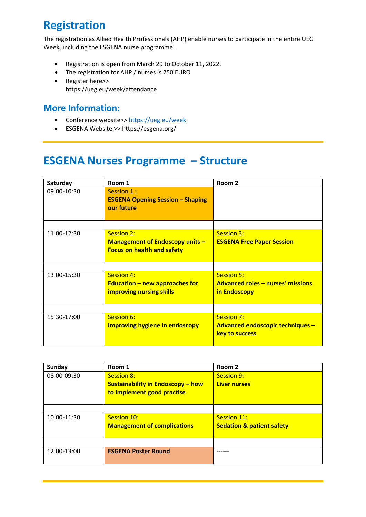# **Registration**

The registration as Allied Health Professionals (AHP) enable nurses to participate in the entire UEG Week, including the ESGENA nurse programme.

- Registration is open from March 29 to October 11, 2022.
- The registration for AHP / nurses is 250 EURO
- [Register here>>](https://esgedays.org/registration/registration-2022/) <https://ueg.eu/week/attendance>

# **More Information:**

- Conference website>> <https://ueg.eu/week>
- ESGENA Website >> https://esgena.org/

# **ESGENA Nurses Programme – Structure**

| Saturday    | Room 1                                                                                    | Room 2                                                                        |
|-------------|-------------------------------------------------------------------------------------------|-------------------------------------------------------------------------------|
| 09:00-10:30 | Session 1 :<br><b>ESGENA Opening Session - Shaping</b><br>our future                      |                                                                               |
| 11:00-12:30 | Session 2:<br><b>Management of Endoscopy units -</b><br><b>Focus on health and safety</b> | Session 3:<br><b>ESGENA Free Paper Session</b>                                |
| 13:00-15:30 | Session 4:<br>Education $-$ new approaches for<br><b>improving nursing skills</b>         | <b>Session 5:</b><br><b>Advanced roles - nurses' missions</b><br>in Endoscopy |
| 15:30-17:00 | Session 6:<br><b>Improving hygiene in endoscopy</b>                                       | Session 7:<br>Advanced endoscopic techniques -<br>key to success              |

| Sunday      | Room 1                                   | Room 2                               |
|-------------|------------------------------------------|--------------------------------------|
| 08.00-09:30 | <b>Session 8:</b>                        | Session 9:                           |
|             | <b>Sustainability in Endoscopy - how</b> | <b>Liver nurses</b>                  |
|             | to implement good practise               |                                      |
|             |                                          |                                      |
|             |                                          |                                      |
| 10:00-11:30 | Session 10:                              | Session 11:                          |
|             | <b>Management of complications</b>       | <b>Sedation &amp; patient safety</b> |
|             |                                          |                                      |
|             |                                          |                                      |
| 12:00-13:00 | <b>ESGENA Poster Round</b>               |                                      |
|             |                                          |                                      |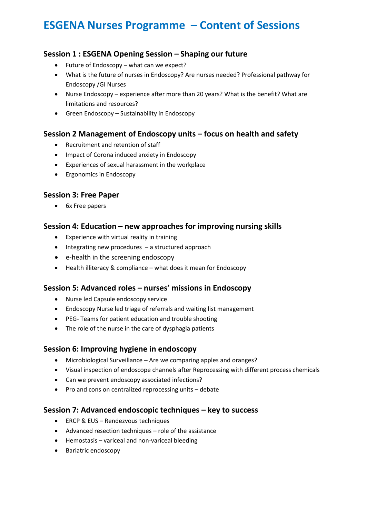# **ESGENA Nurses Programme – Content of Sessions**

## **Session 1 : ESGENA Opening Session – Shaping our future**

- Future of Endoscopy what can we expect?
- What is the future of nurses in Endoscopy? Are nurses needed? Professional pathway for Endoscopy /GI Nurses
- Nurse Endoscopy experience after more than 20 years? What is the benefit? What are limitations and resources?
- Green Endoscopy Sustainability in Endoscopy

## **Session 2 Management of Endoscopy units – focus on health and safety**

- Recruitment and retention of staff
- Impact of Corona induced anxiety in Endoscopy
- Experiences of sexual harassment in the workplace
- Ergonomics in Endoscopy

#### **Session 3: Free Paper**

• 6x Free papers

#### **Session 4: Education – new approaches for improving nursing skills**

- Experience with virtual reality in training
- Integrating new procedures a structured approach
- e-health in the screening endoscopy
- Health illiteracy & compliance what does it mean for Endoscopy

#### **Session 5: Advanced roles – nurses' missions in Endoscopy**

- Nurse led Capsule endoscopy service
- Endoscopy Nurse led triage of referrals and waiting list management
- PEG- Teams for patient education and trouble shooting
- The role of the nurse in the care of dysphagia patients

## **Session 6: Improving hygiene in endoscopy**

- Microbiological Surveillance Are we comparing apples and oranges?
- Visual inspection of endoscope channels after Reprocessing with different process chemicals
- Can we prevent endoscopy associated infections?
- Pro and cons on centralized reprocessing units debate

## **Session 7: Advanced endoscopic techniques – key to success**

- ERCP & EUS Rendezvous techniques
- Advanced resection techniques role of the assistance
- Hemostasis variceal and non-variceal bleeding
- Bariatric endoscopy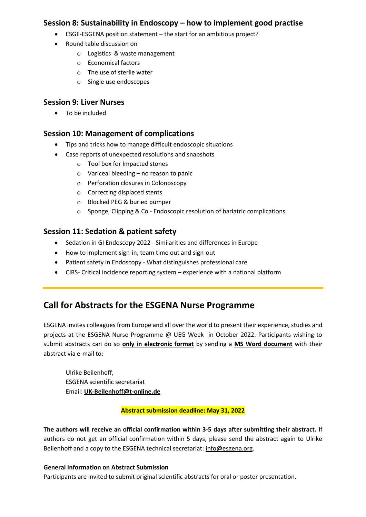### **Session 8: Sustainability in Endoscopy – how to implement good practise**

- ESGE-ESGENA position statement the start for an ambitious project?
- Round table discussion on
	- o Logistics & waste management
	- o Economical factors
	- o The use of sterile water
	- o Single use endoscopes

#### **Session 9: Liver Nurses**

• To be included

## **Session 10: Management of complications**

- Tips and tricks how to manage difficult endoscopic situations
- Case reports of unexpected resolutions and snapshots
	- o Tool box for Impacted stones
	- o Variceal bleeding no reason to panic
	- o Perforation closures in Colonoscopy
	- o Correcting displaced stents
	- o Blocked PEG & buried pumper
	- o Sponge, Clipping & Co Endoscopic resolution of bariatric complications

#### **Session 11: Sedation & patient safety**

- Sedation in GI Endoscopy 2022 Similarities and differences in Europe
- How to implement sign-in, team time out and sign-out
- Patient safety in Endoscopy What distinguishes professional care
- CIRS- Critical incidence reporting system experience with a national platform

## **Call for Abstracts for the ESGENA Nurse Programme**

ESGENA invites colleagues from Europe and all over the world to present their experience, studies and projects at the ESGENA Nurse Programme @ UEG Week in October 2022. Participants wishing to submit abstracts can do so **only in electronic format** by sending a **MS Word document** with their abstract via e-mail to:

Ulrike Beilenhoff, ESGENA scientific secretariat Email: **[UK-Beilenhoff@t-online.de](mailto:UK-Beilenhoff@t-online.de)**

#### **Abstract submission deadline: May 31, 2022**

**The authors will receive an official confirmation within 3-5 days after submitting their abstract.** If authors do not get an official confirmation within 5 days, please send the abstract again to Ulrike Beilenhoff and a copy to the ESGENA technical secretariat[: info@esgena.org.](mailto:info@esgena.org)

#### **General Information on Abstract Submission**

Participants are invited to submit original scientific abstracts for oral or poster presentation.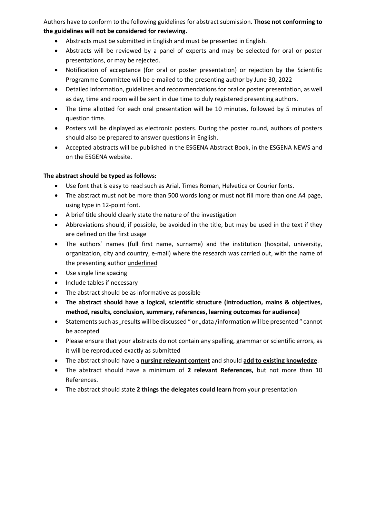Authors have to conform to the following guidelines for abstract submission. **Those not conforming to the guidelines will not be considered for reviewing.**

- Abstracts must be submitted in English and must be presented in English.
- Abstracts will be reviewed by a panel of experts and may be selected for oral or poster presentations, or may be rejected.
- Notification of acceptance (for oral or poster presentation) or rejection by the Scientific Programme Committee will be e-mailed to the presenting author by June 30, 2022
- Detailed information, guidelines and recommendations for oral or poster presentation, as well as day, time and room will be sent in due time to duly registered presenting authors.
- The time allotted for each oral presentation will be 10 minutes, followed by 5 minutes of question time.
- Posters will be displayed as electronic posters. During the poster round, authors of posters should also be prepared to answer questions in English.
- Accepted abstracts will be published in the ESGENA Abstract Book, in the ESGENA NEWS and on the ESGENA website.

#### **The abstract should be typed as follows:**

- Use font that is easy to read such as Arial, Times Roman, Helvetica or Courier fonts.
- The abstract must not be more than 500 words long or must not fill more than one A4 page, using type in 12-point font.
- A brief title should clearly state the nature of the investigation
- Abbreviations should, if possible, be avoided in the title, but may be used in the text if they are defined on the first usage
- The authors´ names (full first name, surname) and the institution (hospital, university, organization, city and country, e-mail) where the research was carried out, with the name of the presenting author underlined
- Use single line spacing
- Include tables if necessary
- The abstract should be as informative as possible
- **The abstract should have a logical, scientific structure (introduction, mains & objectives, method, results, conclusion, summary, references, learning outcomes for audience)**
- Statements such as "results will be discussed " or "data /information will be presented " cannot be accepted
- Please ensure that your abstracts do not contain any spelling, grammar or scientific errors, as it will be reproduced exactly as submitted
- The abstract should have a **nursing relevant content** and should **add to existing knowledge**.
- The abstract should have a minimum of **2 relevant References,** but not more than 10 References.
- The abstract should state **2 things the delegates could learn** from your presentation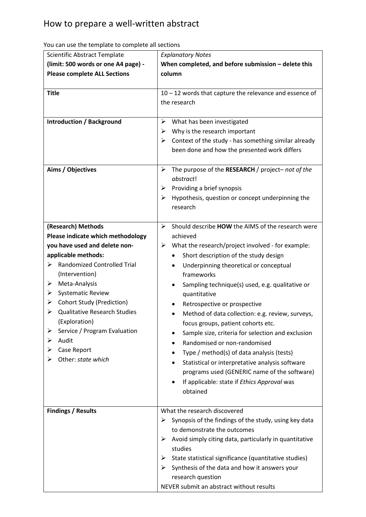| Scientific Abstract Template                                                                                                                                                                                                                                                                                                                                                                                            | <b>Explanatory Notes</b>                                                                                                                                                                                                                                                                                                                                                                                                                                                                                                                                                                                                                                                                                                        |  |
|-------------------------------------------------------------------------------------------------------------------------------------------------------------------------------------------------------------------------------------------------------------------------------------------------------------------------------------------------------------------------------------------------------------------------|---------------------------------------------------------------------------------------------------------------------------------------------------------------------------------------------------------------------------------------------------------------------------------------------------------------------------------------------------------------------------------------------------------------------------------------------------------------------------------------------------------------------------------------------------------------------------------------------------------------------------------------------------------------------------------------------------------------------------------|--|
| (limit: 500 words or one A4 page) -                                                                                                                                                                                                                                                                                                                                                                                     | When completed, and before submission - delete this                                                                                                                                                                                                                                                                                                                                                                                                                                                                                                                                                                                                                                                                             |  |
| <b>Please complete ALL Sections</b>                                                                                                                                                                                                                                                                                                                                                                                     | column                                                                                                                                                                                                                                                                                                                                                                                                                                                                                                                                                                                                                                                                                                                          |  |
| <b>Title</b>                                                                                                                                                                                                                                                                                                                                                                                                            | 10 - 12 words that capture the relevance and essence of<br>the research                                                                                                                                                                                                                                                                                                                                                                                                                                                                                                                                                                                                                                                         |  |
| <b>Introduction / Background</b><br>Aims / Objectives                                                                                                                                                                                                                                                                                                                                                                   | What has been investigated<br>➤<br>Why is the research important<br>➤<br>Context of the study - has something similar already<br>➤<br>been done and how the presented work differs<br>The purpose of the RESEARCH / project-not of the<br>➤<br>abstract!<br>Providing a brief synopsis<br>➤<br>Hypothesis, question or concept underpinning the<br>➤<br>research                                                                                                                                                                                                                                                                                                                                                                |  |
| (Research) Methods<br>Please indicate which methodology<br>you have used and delete non-<br>applicable methods:<br><b>Randomized Controlled Trial</b><br>➤<br>(Intervention)<br>Meta-Analysis<br>➤<br><b>Systematic Review</b><br>➤<br><b>Cohort Study (Prediction)</b><br>➤<br><b>Qualitative Research Studies</b><br>(Exploration)<br>Service / Program Evaluation<br>Audit<br>⋗<br>Case Report<br>Other: state which | Should describe HOW the AIMS of the research were<br>➤<br>achieved<br>What the research/project involved - for example:<br>➤<br>Short description of the study design<br>Underpinning theoretical or conceptual<br>frameworks<br>Sampling technique(s) used, e.g. qualitative or<br>quantitative<br>Retrospective or prospective<br>Method of data collection: e.g. review, surveys,<br>focus groups, patient cohorts etc.<br>Sample size, criteria for selection and exclusion<br>Randomised or non-randomised<br>Type / method(s) of data analysis (tests)<br>Statistical or interpretative analysis software<br>٠<br>programs used (GENERIC name of the software)<br>If applicable: state if Ethics Approval was<br>obtained |  |
| <b>Findings / Results</b>                                                                                                                                                                                                                                                                                                                                                                                               | What the research discovered<br>Synopsis of the findings of the study, using key data<br>➤<br>to demonstrate the outcomes<br>➤<br>Avoid simply citing data, particularly in quantitative<br>studies<br>State statistical significance (quantitative studies)<br>➤<br>Synthesis of the data and how it answers your<br>⋗<br>research question<br>NEVER submit an abstract without results                                                                                                                                                                                                                                                                                                                                        |  |

You can use the template to complete all sections